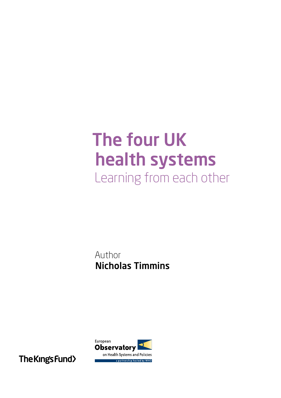# The four UK health systems Learning from each other

Author Nicholas Timmins



The King's Fund>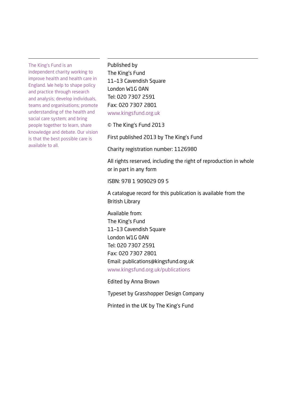The King's Fund is an

independent charity working to improve health and health care in England. We help to shape policy and practice through research and analysis; develop individuals, teams and organisations; promote understanding of the health and social care system; and bring people together to learn, share knowledge and debate. Our vision is that the best possible care is available to all.

Published by The King's Fund 11–13 Cavendish Square London W1G 0AN Tel: 020 7307 2591 Fax: 020 7307 2801 <www.kingsfund.org.uk>

© The King's Fund 2013

First published 2013 by The King's Fund

Charity registration number: 1126980

All rights reserved, including the right of reproduction in whole or in part in any form

ISBN: 978 1 909029 09 5

A catalogue record for this publication is available from the British Library

Available from: The King's Fund 11–13 Cavendish Square London W1G 0AN Tel: 020 7307 2591 Fax: 020 7307 2801 Email: publications@kingsfund.org.uk www.kingsfund.org.uk/publications

Edited by Anna Brown

Typeset by Grasshopper Design Company

Printed in the UK by The King's Fund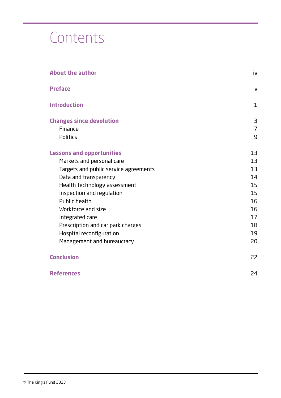# **Contents**

| <b>About the author</b>               | iv             |
|---------------------------------------|----------------|
| <b>Preface</b>                        | $\mathsf{V}$   |
| <b>Introduction</b>                   | 1              |
| <b>Changes since devolution</b>       | 3              |
| Finance                               | $\overline{7}$ |
| <b>Politics</b>                       | 9              |
| <b>Lessons and opportunities</b>      | 13             |
| Markets and personal care             | 13             |
| Targets and public service agreements | 13             |
| Data and transparency                 | 14             |
| Health technology assessment          | 15             |
| Inspection and regulation             | 15             |
| Public health                         | 16             |
| Workforce and size                    | 16             |
| Integrated care                       | 17             |
| Prescription and car park charges     | 18             |
| Hospital reconfiguration              | 19             |
| Management and bureaucracy            | 20             |
| <b>Conclusion</b>                     | 22             |
| <b>References</b>                     | 24             |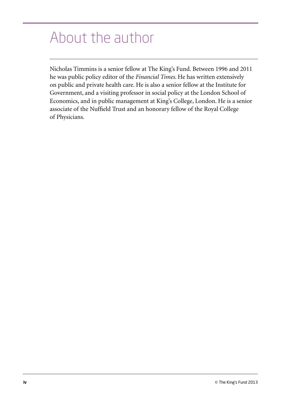# <span id="page-3-0"></span>About the author

Nicholas Timmins is a senior fellow at The King's Fund. Between 1996 and 2011 he was public policy editor of the *Financial Times*. He has written extensively on public and private health care. He is also a senior fellow at the Institute for Government, and a visiting professor in social policy at the London School of Economics, and in public management at King's College, London. He is a senior associate of the Nuffield Trust and an honorary fellow of the Royal College of Physicians.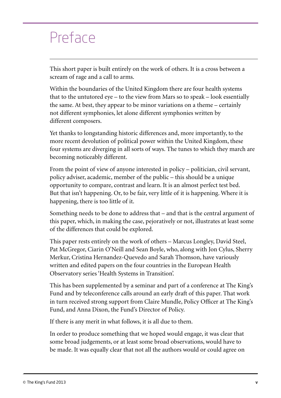### <span id="page-4-0"></span>Preface

This short paper is built entirely on the work of others. It is a cross between a scream of rage and a call to arms.

Within the boundaries of the United Kingdom there are four health systems that to the untutored eye – to the view from Mars so to speak – look essentially the same. At best, they appear to be minor variations on a theme – certainly not different symphonies, let alone different symphonies written by different composers.

Yet thanks to longstanding historic differences and, more importantly, to the more recent devolution of political power within the United Kingdom, these four systems are diverging in all sorts of ways. The tunes to which they march are becoming noticeably different.

From the point of view of anyone interested in policy – politician, civil servant, policy adviser, academic, member of the public – this should be a unique opportunity to compare, contrast and learn. It is an almost perfect test bed. But that isn't happening. Or, to be fair, very little of it is happening. Where it is happening, there is too little of it.

Something needs to be done to address that – and that is the central argument of this paper, which, in making the case, pejoratively or not, illustrates at least some of the differences that could be explored.

This paper rests entirely on the work of others – Marcus Longley, David Steel, Pat McGregor, Ciarin O'Neill and Sean Boyle, who, along with Jon Cylus, Sherry Merkur, Cristina Hernandez-Quevedo and Sarah Thomson, have variously written and edited papers on the four countries in the European Health Observatory series 'Health Systems in Transition'.

This has been supplemented by a seminar and part of a conference at The King's Fund and by teleconference calls around an early draft of this paper. That work in turn received strong support from Claire Mundle, Policy Officer at The King's Fund, and Anna Dixon, the Fund's Director of Policy.

If there is any merit in what follows, it is all due to them.

In order to produce something that we hoped would engage, it was clear that some broad judgements, or at least some broad observations, would have to be made. It was equally clear that not all the authors would or could agree on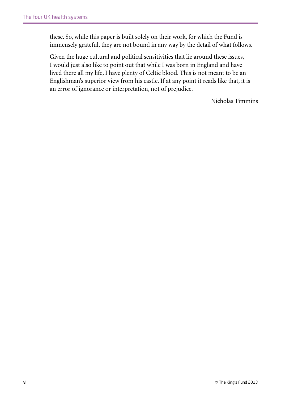these. So, while this paper is built solely on their work, for which the Fund is immensely grateful, they are not bound in any way by the detail of what follows.

Given the huge cultural and political sensitivities that lie around these issues, I would just also like to point out that while I was born in England and have lived there all my life, I have plenty of Celtic blood. This is not meant to be an Englishman's superior view from his castle. If at any point it reads like that, it is an error of ignorance or interpretation, not of prejudice.

Nicholas Timmins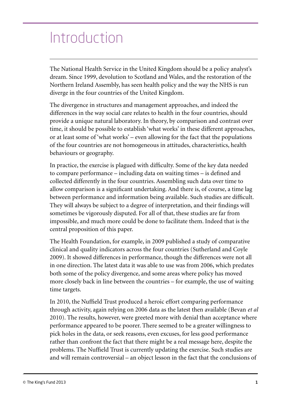# <span id="page-6-0"></span>Introduction

The National Health Service in the United Kingdom should be a policy analyst's dream. Since 1999, devolution to Scotland and Wales, and the restoration of the Northern Ireland Assembly, has seen health policy and the way the NHS is run diverge in the four countries of the United Kingdom.

The divergence in structures and management approaches, and indeed the differences in the way social care relates to health in the four countries, should provide a unique natural laboratory. In theory, by comparison and contrast over time, it should be possible to establish 'what works' in these different approaches, or at least some of 'what works' – even allowing for the fact that the populations of the four countries are not homogeneous in attitudes, characteristics, health behaviours or geography.

In practice, the exercise is plagued with difficulty. Some of the key data needed to compare performance – including data on waiting times – is defined and collected differently in the four countries. Assembling such data over time to allow comparison is a significant undertaking. And there is, of course, a time lag between performance and information being available. Such studies are difficult. They will always be subject to a degree of interpretation, and their findings will sometimes be vigorously disputed. For all of that, these studies are far from impossible, and much more could be done to facilitate them. Indeed that is the central proposition of this paper.

The Health Foundation, for example, in 2009 published a study of comparative clinical and quality indicators across the four countries (Sutherland and Coyle 2009). It showed differences in performance, though the differences were not all in one direction. The latest data it was able to use was from 2006, which predates both some of the policy divergence, and some areas where policy has moved more closely back in line between the countries – for example, the use of waiting time targets.

In 2010, the Nuffield Trust produced a heroic effort comparing performance through activity, again relying on 2006 data as the latest then available (Bevan *et al*  2010). The results, however, were greeted more with denial than acceptance where performance appeared to be poorer. There seemed to be a greater willingness to pick holes in the data, or seek reasons, even excuses, for less good performance rather than confront the fact that there might be a real message here, despite the problems. The Nuffield Trust is currently updating the exercise. Such studies are and will remain controversial – an object lesson in the fact that the conclusions of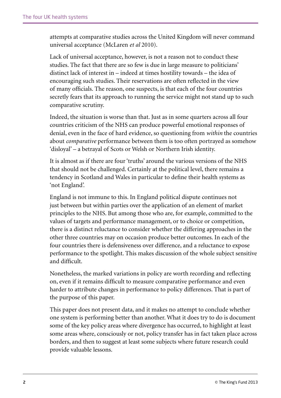attempts at comparative studies across the United Kingdom will never command universal acceptance (McLaren *et al* 2010).

Lack of universal acceptance, however, is not a reason not to conduct these studies. The fact that there are so few is due in large measure to politicians' distinct lack of interest in – indeed at times hostility towards – the idea of encouraging such studies. Their reservations are often reflected in the view of many officials. The reason, one suspects, is that each of the four countries secretly fears that its approach to running the service might not stand up to such comparative scrutiny.

Indeed, the situation is worse than that. Just as in some quarters across all four countries criticism of the NHS can produce powerful emotional responses of denial, even in the face of hard evidence, so questioning from *within* the countries about *comparative* performance between them is too often portrayed as somehow 'disloyal' – a betrayal of Scots or Welsh or Northern Irish identity.

It is almost as if there are four 'truths' around the various versions of the NHS that should not be challenged. Certainly at the political level, there remains a tendency in Scotland and Wales in particular to define their health systems as 'not England'.

England is not immune to this. In England political dispute continues not just between but within parties over the application of an element of market principles to the NHS. But among those who are, for example, committed to the values of targets and performance management, or to choice or competition, there is a distinct reluctance to consider whether the differing approaches in the other three countries may on occasion produce better outcomes. In each of the four countries there is defensiveness over difference, and a reluctance to expose performance to the spotlight. This makes discussion of the whole subject sensitive and difficult.

Nonetheless, the marked variations in policy are worth recording and reflecting on, even if it remains difficult to measure comparative performance and even harder to attribute changes in performance to policy differences. That is part of the purpose of this paper.

This paper does not present data, and it makes no attempt to conclude whether one system is performing better than another. What it does try to do is document some of the key policy areas where divergence has occurred, to highlight at least some areas where, consciously or not, policy transfer has in fact taken place across borders, and then to suggest at least some subjects where future research could provide valuable lessons.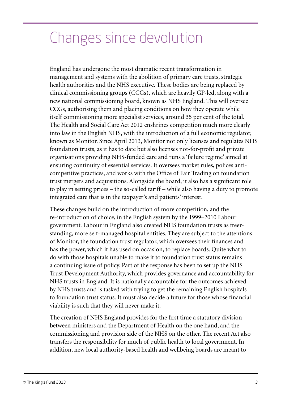# <span id="page-8-0"></span>Changes since devolution

England has undergone the most dramatic recent transformation in management and systems with the abolition of primary care trusts, strategic health authorities and the NHS executive. These bodies are being replaced by clinical commissioning groups (CCGs), which are heavily GP-led, along with a new national commissioning board, known as NHS England. This will oversee CCGs, authorising them and placing conditions on how they operate while itself commissioning more specialist services, around 35 per cent of the total. The Health and Social Care Act 2012 enshrines competition much more clearly into law in the English NHS, with the introduction of a full economic regulator, known as Monitor. Since April 2013, Monitor not only licenses and regulates NHS foundation trusts, as it has to date but also licenses not-for-profit and private organisations providing NHS-funded care and runs a 'failure regime' aimed at ensuring continuity of essential services. It oversees market rules, polices anticompetitive practices, and works with the Office of Fair Trading on foundation trust mergers and acquisitions. Alongside the board, it also has a significant role to play in setting prices – the so-called tariff – while also having a duty to promote integrated care that is in the taxpayer's and patients' interest.

These changes build on the introduction of more competition, and the re-introduction of choice, in the English system by the 1999–2010 Labour government. Labour in England also created NHS foundation trusts as freerstanding, more self-managed hospital entities. They are subject to the attentions of Monitor, the foundation trust regulator, which oversees their finances and has the power, which it has used on occasion, to replace boards. Quite what to do with those hospitals unable to make it to foundation trust status remains a continuing issue of policy. Part of the response has been to set up the NHS Trust Development Authority, which provides governance and accountability for NHS trusts in England. It is nationally accountable for the outcomes achieved by NHS trusts and is tasked with trying to get the remaining English hospitals to foundation trust status. It must also decide a future for those whose financial viability is such that they will never make it.

The creation of NHS England provides for the first time a statutory division between ministers and the Department of Health on the one hand, and the commissioning and provision side of the NHS on the other. The recent Act also transfers the responsibility for much of public health to local government. In addition, new local authority-based health and wellbeing boards are meant to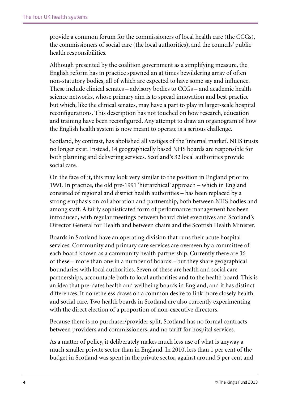provide a common forum for the commissioners of local health care (the CCGs), the commissioners of social care (the local authorities), and the councils' public health responsibilities.

Although presented by the coalition government as a simplifying measure, the English reform has in practice spawned an at times bewildering array of often non-statutory bodies, all of which are expected to have some say and influence. These include clinical senates – advisory bodies to CCGs – and academic health science networks, whose primary aim is to spread innovation and best practice but which, like the clinical senates, may have a part to play in larger-scale hospital reconfigurations. This description has not touched on how research, education and training have been reconfigured. Any attempt to draw an organogram of how the English health system is now meant to operate is a serious challenge.

Scotland, by contrast, has abolished all vestiges of the 'internal market'. NHS trusts no longer exist. Instead, 14 geographically based NHS boards are responsible for both planning and delivering services. Scotland's 32 local authorities provide social care.

On the face of it, this may look very similar to the position in England prior to 1991. In practice, the old pre-1991 'hierarchical' approach – which in England consisted of regional and district health authorities – has been replaced by a strong emphasis on collaboration and partnership, both between NHS bodies and among staff. A fairly sophisticated form of performance management has been introduced, with regular meetings between board chief executives and Scotland's Director General for Health and between chairs and the Scottish Health Minister.

Boards in Scotland have an operating division that runs their acute hospital services. Community and primary care services are overseen by a committee of each board known as a community health partnership. Currently there are 36 of these – more than one in a number of boards – but they share geographical boundaries with local authorities. Seven of these are health and social care partnerships, accountable both to local authorities and to the health board. This is an idea that pre-dates health and wellbeing boards in England, and it has distinct differences. It nonetheless draws on a common desire to link more closely health and social care. Two health boards in Scotland are also currently experimenting with the direct election of a proportion of non-executive directors.

Because there is no purchaser/provider split, Scotland has no formal contracts between providers and commissioners, and no tariff for hospital services.

As a matter of policy, it deliberately makes much less use of what is anyway a much smaller private sector than in England. In 2010, less than 1 per cent of the budget in Scotland was spent in the private sector, against around 5 per cent and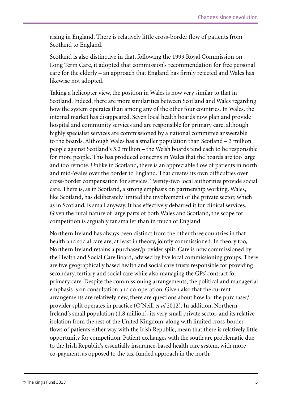rising in England. There is relatively little cross-border flow of patients from Scotland to England.

Scotland is also distinctive in that, following the 1999 Royal Commission on Long Term Care, it adopted that commission's recommendation for free personal care for the elderly – an approach that England has firmly rejected and Wales has likewise not adopted.

Taking a helicopter view, the position in Wales is now very similar to that in Scotland. Indeed, there are more similarities between Scotland and Wales regarding how the system operates than among any of the other four countries. In Wales, the internal market has disappeared. Seven local health boards now plan and provide hospital and community services and are responsible for primary care, although highly specialist services are commissioned by a national committee answerable to the boards. Although Wales has a smaller population than Scotland – 3 million people against Scotland's 5.2 million – the Welsh boards tend each to be responsible for more people. This has produced concerns in Wales that the boards are too large and too remote. Unlike in Scotland, there is an appreciable flow of patients in north and mid-Wales over the border to England. That creates its own difficulties over cross-border compensation for services. Twenty-two local authorities provide social care. There is, as in Scotland, a strong emphasis on partnership working. Wales, like Scotland, has deliberately limited the involvement of the private sector, which as in Scotland, is small anyway. It has effectively debarred it for clinical services. Given the rural nature of large parts of both Wales and Scotland, the scope for competition is arguably far smaller than in much of England.

Northern Ireland has always been distinct from the other three countries in that health and social care are, at least in theory, jointly commissioned. In theory too, Northern Ireland retains a purchaser/provider split. Care is now commissioned by the Health and Social Care Board, advised by five local commissioning groups. There are five geographically based health and social care trusts responsible for providing secondary, tertiary and social care while also managing the GPs' contract for primary care. Despite the commissioning arrangements, the political and managerial emphasis is on consultation and co-operation. Given also that the current arrangements are relatively new, there are questions about how far the purchaser/ provider split operates in practice (O'Neill *et al* 2012). In addition, Northern Ireland's small population (1.8 million), its very small private sector, and its relative isolation from the rest of the United Kingdom, along with limited cross-border flows of patients either way with the Irish Republic, mean that there is relatively little opportunity for competition. Patient exchanges with the south are problematic due to the Irish Republic's essentially insurance-based health care system, with more co-payment, as opposed to the tax-funded approach in the north.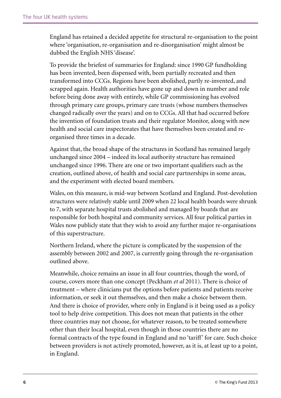England has retained a decided appetite for structural re-organisation to the point where 'organisation, re-organisation and re-disorganisation' might almost be dubbed the English NHS 'disease'.

To provide the briefest of summaries for England: since 1990 GP fundholding has been invented, been dispensed with, been partially recreated and then transformed into CCGs. Regions have been abolished, partly re-invented, and scrapped again. Health authorities have gone up and down in number and role before being done away with entirely, while GP commissioning has evolved through primary care groups, primary care trusts (whose numbers themselves changed radically over the years) and on to CCGs. All that had occurred before the invention of foundation trusts and their regulator Monitor, along with new health and social care inspectorates that have themselves been created and reorganised three times in a decade.

Against that, the broad shape of the structures in Scotland has remained largely unchanged since 2004 – indeed its local authority structure has remained unchanged since 1996. There are one or two important qualifiers such as the creation, outlined above, of health and social care partnerships in some areas, and the experiment with elected board members.

Wales, on this measure, is mid-way between Scotland and England. Post-devolution structures were relatively stable until 2009 when 22 local health boards were shrunk to 7, with separate hospital trusts abolished and managed by boards that are responsible for both hospital and community services. All four political parties in Wales now publicly state that they wish to avoid any further major re-organisations of this superstructure.

Northern Ireland, where the picture is complicated by the suspension of the assembly between 2002 and 2007, is currently going through the re-organisation outlined above.

Meanwhile, choice remains an issue in all four countries, though the word, of course, covers more than one concept (Peckham *et al* 2011). There is choice of treatment – where clinicians put the options before patients and patients receive information, or seek it out themselves, and then make a choice between them. And there is choice of provider, where only in England is it being used as a policy tool to help drive competition. This does not mean that patients in the other three countries may not choose, for whatever reason, to be treated somewhere other than their local hospital, even though in those countries there are no formal contracts of the type found in England and no 'tariff' for care. Such choice between providers is not actively promoted, however, as it is, at least up to a point, in England.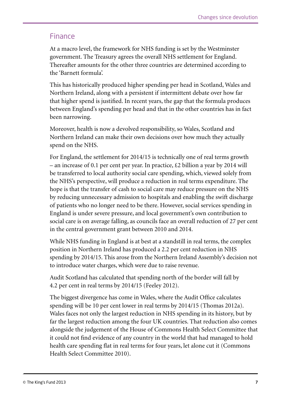#### <span id="page-12-0"></span>Finance

At a macro level, the framework for NHS funding is set by the Westminster government. The Treasury agrees the overall NHS settlement for England. Thereafter amounts for the other three countries are determined according to the 'Barnett formula'.

This has historically produced higher spending per head in Scotland, Wales and Northern Ireland, along with a persistent if intermittent debate over how far that higher spend is justified. In recent years, the gap that the formula produces between England's spending per head and that in the other countries has in fact been narrowing.

Moreover, health is now a devolved responsibility, so Wales, Scotland and Northern Ireland can make their own decisions over how much they actually spend on the NHS.

For England, the settlement for 2014/15 is technically one of real terms growth  $-$  an increase of 0.1 per cent per year. In practice, £2 billion a year by 2014 will be transferred to local authority social care spending, which, viewed solely from the NHS's perspective, will produce a reduction in real terms expenditure. The hope is that the transfer of cash to social care may reduce pressure on the NHS by reducing unnecessary admission to hospitals and enabling the swift discharge of patients who no longer need to be there. However, social services spending in England is under severe pressure, and local government's own contribution to social care is on average falling, as councils face an overall reduction of 27 per cent in the central government grant between 2010 and 2014.

While NHS funding in England is at best at a standstill in real terms, the complex position in Northern Ireland has produced a 2.2 per cent reduction in NHS spending by 2014/15. This arose from the Northern Ireland Assembly's decision not to introduce water charges, which were due to raise revenue.

Audit Scotland has calculated that spending north of the border will fall by 4.2 per cent in real terms by 2014/15 (Feeley 2012).

The biggest divergence has come in Wales, where the Audit Office calculates spending will be 10 per cent lower in real terms by 2014/15 (Thomas 2012a). Wales faces not only the largest reduction in NHS spending in its history, but by far the largest reduction among the four UK countries. That reduction also comes alongside the judgement of the House of Commons Health Select Committee that it could not find evidence of any country in the world that had managed to hold health care spending flat in real terms for four years, let alone cut it (Commons Health Select Committee 2010).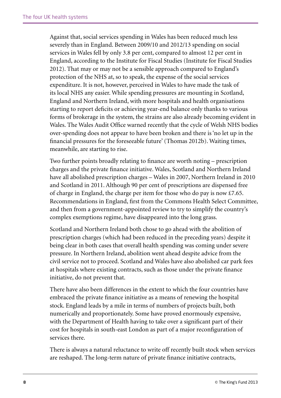Against that, social services spending in Wales has been reduced much less severely than in England. Between 2009/10 and 2012/13 spending on social services in Wales fell by only 3.8 per cent, compared to almost 12 per cent in England, according to the Institute for Fiscal Studies (Institute for Fiscal Studies 2012). That may or may not be a sensible approach compared to England's protection of the NHS at, so to speak, the expense of the social services expenditure. It is not, however, perceived in Wales to have made the task of its local NHS any easier. While spending pressures are mounting in Scotland, England and Northern Ireland, with more hospitals and health organisations starting to report deficits or achieving year-end balance only thanks to various forms of brokerage in the system, the strains are also already becoming evident in Wales. The Wales Audit Office warned recently that the cycle of Welsh NHS bodies over-spending does not appear to have been broken and there is 'no let up in the financial pressures for the foreseeable future' (Thomas 2012b). Waiting times, meanwhile, are starting to rise.

Two further points broadly relating to finance are worth noting – prescription charges and the private finance initiative. Wales, Scotland and Northern Ireland have all abolished prescription charges – Wales in 2007, Northern Ireland in 2010 and Scotland in 2011. Although 90 per cent of prescriptions are dispensed free of charge in England, the charge per item for those who do pay is now £7.65. Recommendations in England, first from the Commons Health Select Committee, and then from a government-appointed review to try to simplify the country's complex exemptions regime, have disappeared into the long grass.

Scotland and Northern Ireland both chose to go ahead with the abolition of prescription charges (which had been reduced in the preceding years) despite it being clear in both cases that overall health spending was coming under severe pressure. In Northern Ireland, abolition went ahead despite advice from the civil service not to proceed. Scotland and Wales have also abolished car park fees at hospitals where existing contracts, such as those under the private finance initiative, do not prevent that.

There have also been differences in the extent to which the four countries have embraced the private finance initiative as a means of renewing the hospital stock. England leads by a mile in terms of numbers of projects built, both numerically and proportionately. Some have proved enormously expensive, with the Department of Health having to take over a significant part of their cost for hospitals in south-east London as part of a major reconfiguration of services there.

There is always a natural reluctance to write off recently built stock when services are reshaped. The long-term nature of private finance initiative contracts,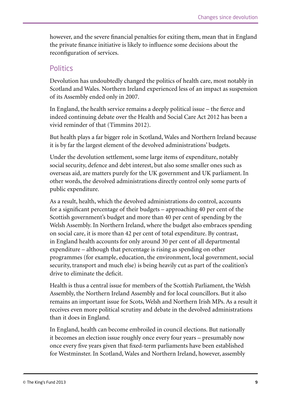<span id="page-14-0"></span>however, and the severe financial penalties for exiting them, mean that in England the private finance initiative is likely to influence some decisions about the reconfiguration of services.

#### **Politics**

Devolution has undoubtedly changed the politics of health care, most notably in Scotland and Wales. Northern Ireland experienced less of an impact as suspension of its Assembly ended only in 2007.

In England, the health service remains a deeply political issue – the fierce and indeed continuing debate over the Health and Social Care Act 2012 has been a vivid reminder of that (Timmins 2012).

But health plays a far bigger role in Scotland, Wales and Northern Ireland because it is by far the largest element of the devolved administrations' budgets.

Under the devolution settlement, some large items of expenditure, notably social security, defence and debt interest, but also some smaller ones such as overseas aid, are matters purely for the UK government and UK parliament. In other words, the devolved administrations directly control only some parts of public expenditure.

As a result, health, which the devolved administrations do control, accounts for a significant percentage of their budgets – approaching 40 per cent of the Scottish government's budget and more than 40 per cent of spending by the Welsh Assembly. In Northern Ireland, where the budget also embraces spending on social care, it is more than 42 per cent of total expenditure. By contrast, in England health accounts for only around 30 per cent of all departmental expenditure – although that percentage is rising as spending on other programmes (for example, education, the environment, local government, social security, transport and much else) is being heavily cut as part of the coalition's drive to eliminate the deficit.

Health is thus a central issue for members of the Scottish Parliament, the Welsh Assembly, the Northern Ireland Assembly and for local councillors. But it also remains an important issue for Scots, Welsh and Northern Irish MPs. As a result it receives even more political scrutiny and debate in the devolved administrations than it does in England.

In England, health can become embroiled in council elections. But nationally it becomes an election issue roughly once every four years – presumably now once every five years given that fixed-term parliaments have been established for Westminster. In Scotland, Wales and Northern Ireland, however, assembly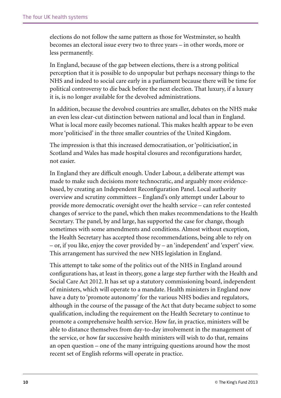elections do not follow the same pattern as those for Westminster, so health becomes an electoral issue every two to three years – in other words, more or less permanently.

In England, because of the gap between elections, there is a strong political perception that it is possible to do unpopular but perhaps necessary things to the NHS and indeed to social care early in a parliament because there will be time for political controversy to die back before the next election. That luxury, if a luxury it is, is no longer available for the devolved administrations.

In addition, because the devolved countries are smaller, debates on the NHS make an even less clear-cut distinction between national and local than in England. What is local more easily becomes national. This makes health appear to be even more 'politicised' in the three smaller countries of the United Kingdom.

The impression is that this increased democratisation, or 'politicisation', in Scotland and Wales has made hospital closures and reconfigurations harder, not easier.

In England they are difficult enough. Under Labour, a deliberate attempt was made to make such decisions more technocratic, and arguably more evidencebased, by creating an Independent Reconfiguration Panel. Local authority overview and scrutiny committees – England's only attempt under Labour to provide more democratic oversight over the health service – can refer contested changes of service to the panel, which then makes recommendations to the Health Secretary. The panel, by and large, has supported the case for change, though sometimes with some amendments and conditions. Almost without exception, the Health Secretary has accepted those recommendations, being able to rely on – or, if you like, enjoy the cover provided by – an 'independent' and 'expert' view. This arrangement has survived the new NHS legislation in England.

This attempt to take some of the politics out of the NHS in England around configurations has, at least in theory, gone a large step further with the Health and Social Care Act 2012. It has set up a statutory commissioning board, independent of ministers, which will operate to a mandate. Health ministers in England now have a duty to 'promote autonomy' for the various NHS bodies and regulators, although in the course of the passage of the Act that duty became subject to some qualification, including the requirement on the Health Secretary to continue to promote a comprehensive health service. How far, in practice, ministers will be able to distance themselves from day-to-day involvement in the management of the service, or how far successive health ministers will wish to do that, remains an open question – one of the many intriguing questions around how the most recent set of English reforms will operate in practice.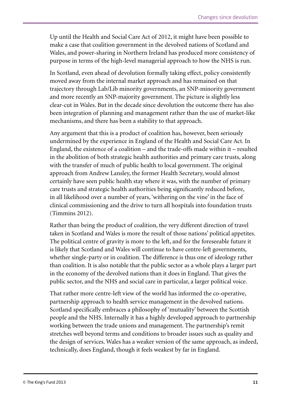Up until the Health and Social Care Act of 2012, it might have been possible to make a case that coalition government in the devolved nations of Scotland and Wales, and power-sharing in Northern Ireland has produced more consistency of purpose in terms of the high-level managerial approach to how the NHS is run.

In Scotland, even ahead of devolution formally taking effect, policy consistently moved away from the internal market approach and has remained on that trajectory through Lab/Lib minority governments, an SNP-minority government and more recently an SNP-majority government. The picture is slightly less clear-cut in Wales. But in the decade since devolution the outcome there has also been integration of planning and management rather than the use of market-like mechanisms, and there has been a stability to that approach.

Any argument that this is a product of coalition has, however, been seriously undermined by the experience in England of the Health and Social Care Act. In England, the existence of a coalition – and the trade-offs made within it – resulted in the abolition of both strategic health authorities and primary care trusts, along with the transfer of much of public health to local government. The original approach from Andrew Lansley, the former Health Secretary, would almost certainly have seen public health stay where it was, with the number of primary care trusts and strategic health authorities being significantly reduced before, in all likelihood over a number of years, 'withering on the vine' in the face of clinical commissioning and the drive to turn all hospitals into foundation trusts (Timmins 2012).

Rather than being the product of coalition, the very different direction of travel taken in Scotland and Wales is more the result of those nations' political appetites. The political centre of gravity is more to the left, and for the foreseeable future it is likely that Scotland and Wales will continue to have centre-left governments, whether single-party or in coalition. The difference is thus one of ideology rather than coalition. It is also notable that the public sector as a whole plays a larger part in the economy of the devolved nations than it does in England. That gives the public sector, and the NHS and social care in particular, a larger political voice.

That rather more centre-left view of the world has informed the co-operative, partnership approach to health service management in the devolved nations. Scotland specifically embraces a philosophy of 'mutuality' between the Scottish people and the NHS. Internally it has a highly developed approach to partnership working between the trade unions and management. The partnership's remit stretches well beyond terms and conditions to broader issues such as quality and the design of services. Wales has a weaker version of the same approach, as indeed, technically, does England, though it feels weakest by far in England.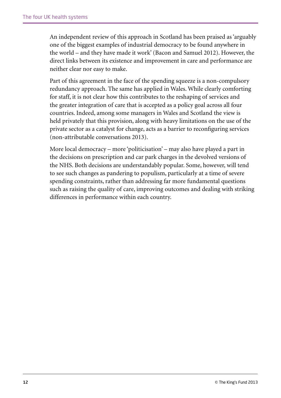An independent review of this approach in Scotland has been praised as 'arguably one of the biggest examples of industrial democracy to be found anywhere in the world – and they have made it work' (Bacon and Samuel 2012). However, the direct links between its existence and improvement in care and performance are neither clear nor easy to make.

Part of this agreement in the face of the spending squeeze is a non-compulsory redundancy approach. The same has applied in Wales. While clearly comforting for staff, it is not clear how this contributes to the reshaping of services and the greater integration of care that is accepted as a policy goal across all four countries. Indeed, among some managers in Wales and Scotland the view is held privately that this provision, along with heavy limitations on the use of the private sector as a catalyst for change, acts as a barrier to reconfiguring services (non-attributable conversations 2013).

More local democracy – more 'politicisation' – may also have played a part in the decisions on prescription and car park charges in the devolved versions of the NHS. Both decisions are understandably popular. Some, however, will tend to see such changes as pandering to populism, particularly at a time of severe spending constraints, rather than addressing far more fundamental questions such as raising the quality of care, improving outcomes and dealing with striking differences in performance within each country.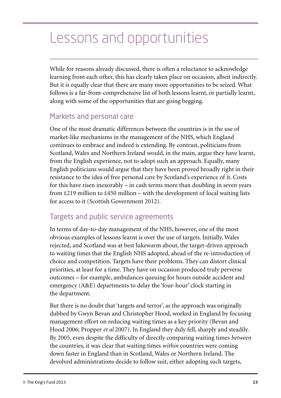# <span id="page-18-0"></span>Lessons and opportunities

While for reasons already discussed, there is often a reluctance to acknowledge learning from each other, this has clearly taken place on occasion, albeit indirectly. But it is equally clear that there are many more opportunities to be seized. What follows is a far-from-comprehensive list of both lessons learnt, or partially learnt, along with some of the opportunities that are going begging.

### Markets and personal care

One of the most dramatic differences between the countries is in the use of market-like mechanisms in the management of the NHS, which England continues to embrace and indeed is extending. By contrast, politicians from Scotland, Wales and Northern Ireland would, in the main, argue they have learnt, from the English experience, not to adopt such an approach. Equally, many English politicians would argue that they have been proved broadly right in their resistance to the idea of free personal care by Scotland's experience of it. Costs for this have risen inexorably – in cash terms more than doubling in seven years from  $\text{\pounds}219$  million to  $\text{\pounds}450$  million – with the development of local waiting lists for access to it (Scottish Government 2012).

### Targets and public service agreements

In terms of day-to-day management of the NHS, however, one of the most obvious examples of lessons learnt is over the use of targets. Initially, Wales rejected, and Scotland was at best lukewarm about, the target-driven approach to waiting times that the English NHS adopted, ahead of the re-introduction of choice and competition. Targets have their problems. They can distort clinical priorities, at least for a time. They have on occasion produced truly perverse outcomes – for example, ambulances queuing for hours outside accident and emergency (A&E) departments to delay the 'four-hour' clock starting in the department.

But there is no doubt that 'targets and terror', as the approach was originally dubbed by Gwyn Bevan and Christopher Hood, worked in England by focusing management effort on reducing waiting times as a key priority (Bevan and Hood 2006; Propper *et al* 2007). In England they duly fell, sharply and steadily. By 2005, even despite the difficulty of directly comparing waiting times *between* the countries, it was clear that waiting times *within* countries were coming down faster in England than in Scotland, Wales or Northern Ireland. The devolved administrations decide to follow suit, either adopting such targets,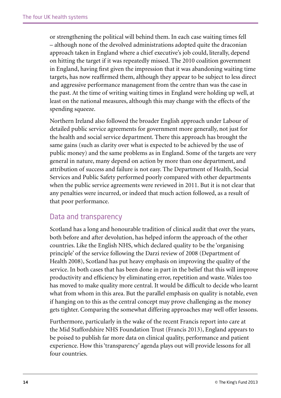<span id="page-19-0"></span>or strengthening the political will behind them. In each case waiting times fell – although none of the devolved administrations adopted quite the draconian approach taken in England where a chief executive's job could, literally, depend on hitting the target if it was repeatedly missed. The 2010 coalition government in England, having first given the impression that it was abandoning waiting time targets, has now reaffirmed them, although they appear to be subject to less direct and aggressive performance management from the centre than was the case in the past. At the time of writing waiting times in England were holding up well, at least on the national measures, although this may change with the effects of the spending squeeze.

Northern Ireland also followed the broader English approach under Labour of detailed public service agreements for government more generally, not just for the health and social service department. There this approach has brought the same gains (such as clarity over what is expected to be achieved by the use of public money) and the same problems as in England. Some of the targets are very general in nature, many depend on action by more than one department, and attribution of success and failure is not easy. The Department of Health, Social Services and Public Safety performed poorly compared with other departments when the public service agreements were reviewed in 2011. But it is not clear that any penalties were incurred, or indeed that much action followed, as a result of that poor performance.

#### Data and transparency

Scotland has a long and honourable tradition of clinical audit that over the years, both before and after devolution, has helped inform the approach of the other countries. Like the English NHS, which declared quality to be the 'organising principle' of the service following the Darzi review of 2008 (Department of Health 2008), Scotland has put heavy emphasis on improving the quality of the service. In both cases that has been done in part in the belief that this will improve productivity and efficiency by eliminating error, repetition and waste. Wales too has moved to make quality more central. It would be difficult to decide who learnt what from whom in this area. But the parallel emphasis on quality is notable, even if hanging on to this as the central concept may prove challenging as the money gets tighter. Comparing the somewhat differing approaches may well offer lessons.

Furthermore, particularly in the wake of the recent Francis report into care at the Mid Staffordshire NHS Foundation Trust (Francis 2013), England appears to be poised to publish far more data on clinical quality, performance and patient experience. How this 'transparency' agenda plays out will provide lessons for all four countries.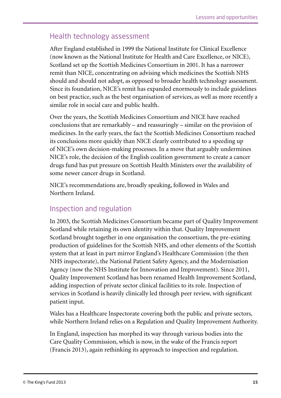### <span id="page-20-0"></span>Health technology assessment

After England established in 1999 the National Institute for Clinical Excellence (now known as the National Institute for Health and Care Excellence, or NICE), Scotland set up the Scottish Medicines Consortium in 2001. It has a narrower remit than NICE, concentrating on advising which medicines the Scottish NHS should and should not adopt, as opposed to broader health technology assessment. Since its foundation, NICE's remit has expanded enormously to include guidelines on best practice, such as the best organisation of services, as well as more recently a similar role in social care and public health.

Over the years, the Scottish Medicines Consortium and NICE have reached conclusions that are remarkably – and reassuringly – similar on the provision of medicines. In the early years, the fact the Scottish Medicines Consortium reached its conclusions more quickly than NICE clearly contributed to a speeding up of NICE's own decision-making processes. In a move that arguably undermines NICE's role, the decision of the English coalition government to create a cancer drugs fund has put pressure on Scottish Health Ministers over the availability of some newer cancer drugs in Scotland.

NICE's recommendations are, broadly speaking, followed in Wales and Northern Ireland.

#### Inspection and regulation

In 2003, the Scottish Medicines Consortium became part of Quality Improvement Scotland while retaining its own identity within that. Quality Improvement Scotland brought together in one organisation the consortium, the pre-existing production of guidelines for the Scottish NHS, and other elements of the Scottish system that at least in part mirror England's Healthcare Commission (the then NHS inspectorate), the National Patient Safety Agency, and the Modernisation Agency (now the NHS Institute for Innovation and Improvement). Since 2011, Quality Improvement Scotland has been renamed Health Improvement Scotland, adding inspection of private sector clinical facilities to its role. Inspection of services in Scotland is heavily clinically led through peer review, with significant patient input.

Wales has a Healthcare Inspectorate covering both the public and private sectors, while Northern Ireland relies on a Regulation and Quality Improvement Authority.

In England, inspection has morphed its way through various bodies into the Care Quality Commission, which is now, in the wake of the Francis report (Francis 2013), again rethinking its approach to inspection and regulation.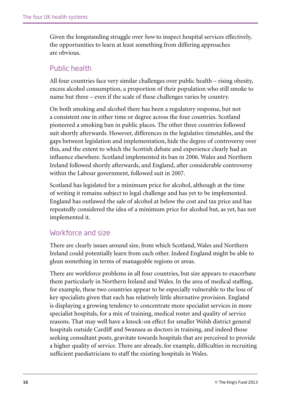<span id="page-21-0"></span>Given the longstanding struggle over *how* to inspect hospital services effectively, the opportunities to learn at least something from differing approaches are obvious.

### Public health

All four countries face very similar challenges over public health – rising obesity, excess alcohol consumption, a proportion of their population who still smoke to name but three – even if the scale of these challenges varies by country.

On both smoking and alcohol there has been a regulatory response, but not a consistent one in either time or degree across the four countries. Scotland pioneered a smoking ban in public places. The other three countries followed suit shortly afterwards. However, differences in the legislative timetables, and the gaps between legislation and implementation, hide the degree of controversy over this, and the extent to which the Scottish debate and experience clearly had an influence elsewhere. Scotland implemented its ban in 2006. Wales and Northern Ireland followed shortly afterwards, and England, after considerable controversy within the Labour government, followed suit in 2007.

Scotland has legislated for a minimum price for alcohol, although at the time of writing it remains subject to legal challenge and has yet to be implemented. England has outlawed the sale of alcohol at below the cost and tax price and has repeatedly considered the idea of a minimum price for alcohol but, as yet, has not implemented it.

#### Workforce and size

There are clearly issues around size, from which Scotland, Wales and Northern Ireland could potentially learn from each other. Indeed England might be able to glean something in terms of manageable regions or areas.

There are workforce problems in all four countries, but size appears to exacerbate them particularly in Northern Ireland and Wales. In the area of medical staffing, for example, these two countries appear to be especially vulnerable to the loss of key specialists given that each has relatively little alternative provision. England is displaying a growing tendency to concentrate more specialist services in more specialist hospitals, for a mix of training, medical roster and quality of service reasons. That may well have a knock-on effect for smaller Welsh district general hospitals outside Cardiff and Swansea as doctors in training, and indeed those seeking consultant posts, gravitate towards hospitals that are perceived to provide a higher quality of service. There are already, for example, difficulties in recruiting sufficient paediatricians to staff the existing hospitals in Wales.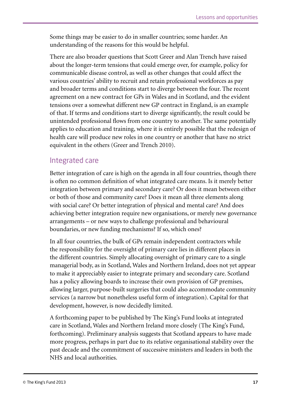<span id="page-22-0"></span>Some things may be easier to do in smaller countries; some harder. An understanding of the reasons for this would be helpful.

There are also broader questions that Scott Greer and Alan Trench have raised about the longer-term tensions that could emerge over, for example, policy for communicable disease control, as well as other changes that could affect the various countries' ability to recruit and retain professional workforces as pay and broader terms and conditions start to diverge between the four. The recent agreement on a new contract for GPs in Wales and in Scotland, and the evident tensions over a somewhat different new GP contract in England, is an example of that. If terms and conditions start to diverge significantly, the result could be unintended professional flows from one country to another. The same potentially applies to education and training, where it is entirely possible that the redesign of health care will produce new roles in one country or another that have no strict equivalent in the others (Greer and Trench 2010).

### Integrated care

Better integration of care is high on the agenda in all four countries, though there is often no common definition of what integrated care means. Is it merely better integration between primary and secondary care? Or does it mean between either or both of those and community care? Does it mean all three elements along with social care? Or better integration of physical and mental care? And does achieving better integration require new organisations, or merely new governance arrangements – or new ways to challenge professional and behavioural boundaries, or new funding mechanisms? If so, which ones?

In all four countries, the bulk of GPs remain independent contractors while the responsibility for the oversight of primary care lies in different places in the different countries. Simply allocating oversight of primary care to a single managerial body, as in Scotland, Wales and Northern Ireland, does not yet appear to make it appreciably easier to integrate primary and secondary care. Scotland has a policy allowing boards to increase their own provision of GP premises, allowing larger, purpose-built surgeries that could also accommodate community services (a narrow but nonetheless useful form of integration). Capital for that development, however, is now decidedly limited.

A forthcoming paper to be published by The King's Fund looks at integrated care in Scotland, Wales and Northern Ireland more closely (The King's Fund, forthcoming). Preliminary analysis suggests that Scotland appears to have made more progress, perhaps in part due to its relative organisational stability over the past decade and the commitment of successive ministers and leaders in both the NHS and local authorities.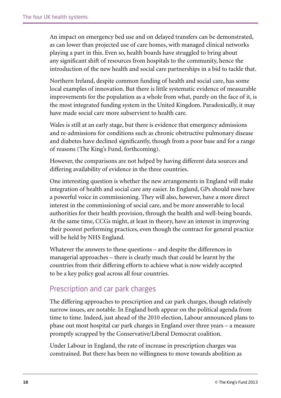<span id="page-23-0"></span>An impact on emergency bed use and on delayed transfers can be demonstrated, as can lower than projected use of care homes, with managed clinical networks playing a part in this. Even so, health boards have struggled to bring about any significant shift of resources from hospitals to the community, hence the introduction of the new health and social care partnerships in a bid to tackle that.

Northern Ireland, despite common funding of health and social care, has some local examples of innovation. But there is little systematic evidence of measurable improvements for the population as a whole from what, purely on the face of it, is the most integrated funding system in the United Kingdom. Paradoxically, it may have made social care more subservient to health care.

Wales is still at an early stage, but there is evidence that emergency admissions and re-admissions for conditions such as chronic obstructive pulmonary disease and diabetes have declined significantly, though from a poor base and for a range of reasons (The King's Fund, forthcoming).

However, the comparisons are not helped by having different data sources and differing availability of evidence in the three countries.

One interesting question is whether the new arrangements in England will make integration of health and social care any easier. In England, GPs should now have a powerful voice in commissioning. They will also, however, have a more direct interest in the commissioning of social care, and be more answerable to local authorities for their health provision, through the health and well-being boards. At the same time, CCGs might, at least in theory, have an interest in improving their poorest performing practices, even though the contract for general practice will be held by NHS England.

Whatever the answers to these questions – and despite the differences in managerial approaches – there is clearly much that could be learnt by the countries from their differing efforts to achieve what is now widely accepted to be a key policy goal across all four countries.

#### Prescription and car park charges

The differing approaches to prescription and car park charges, though relatively narrow issues, are notable. In England both appear on the political agenda from time to time. Indeed, just ahead of the 2010 election, Labour announced plans to phase out most hospital car park charges in England over three years – a measure promptly scrapped by the Conservative/Liberal Democrat coalition.

Under Labour in England, the rate of increase in prescription charges was constrained. But there has been no willingness to move towards abolition as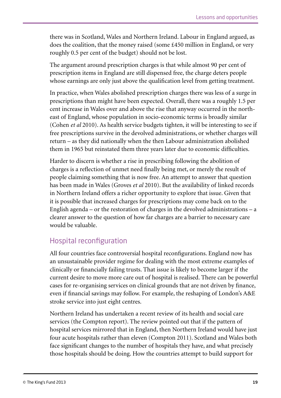<span id="page-24-0"></span>there was in Scotland, Wales and Northern Ireland. Labour in England argued, as does the coalition, that the money raised (some £450 million in England, or very roughly 0.5 per cent of the budget) should not be lost.

The argument around prescription charges is that while almost 90 per cent of prescription items in England are still dispensed free, the charge deters people whose earnings are only just above the qualification level from getting treatment.

In practice, when Wales abolished prescription charges there was less of a surge in prescriptions than might have been expected. Overall, there was a roughly 1.5 per cent increase in Wales over and above the rise that anyway occurred in the northeast of England, whose population in socio-economic terms is broadly similar (Cohen *et al* 2010). As health service budgets tighten, it will be interesting to see if free prescriptions survive in the devolved administrations, or whether charges will return – as they did nationally when the then Labour administration abolished them in 1965 but reinstated them three years later due to economic difficulties.

Harder to discern is whether a rise in prescribing following the abolition of charges is a reflection of unmet need finally being met, or merely the result of people claiming something that is now free. An attempt to answer that question has been made in Wales (Groves *et al* 2010). But the availability of linked records in Northern Ireland offers a richer opportunity to explore that issue. Given that it is possible that increased charges for prescriptions may come back on to the English agenda – or the restoration of charges in the devolved administrations – a clearer answer to the question of how far charges are a barrier to necessary care would be valuable.

### Hospital reconfiguration

All four countries face controversial hospital reconfigurations. England now has an unsustainable provider regime for dealing with the most extreme examples of clinically or financially failing trusts. That issue is likely to become larger if the current desire to move more care out of hospital is realised. There can be powerful cases for re-organising services on clinical grounds that are not driven by finance, even if financial savings may follow. For example, the reshaping of London's A&E stroke service into just eight centres.

Northern Ireland has undertaken a recent review of its health and social care services (the Compton report). The review pointed out that if the pattern of hospital services mirrored that in England, then Northern Ireland would have just four acute hospitals rather than eleven (Compton 2011). Scotland and Wales both face significant changes to the number of hospitals they have, and what precisely those hospitals should be doing. How the countries attempt to build support for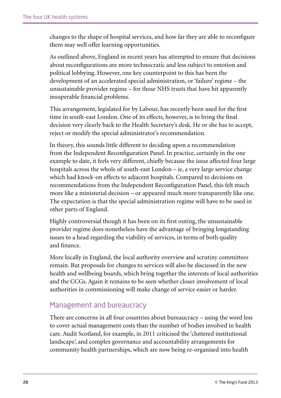<span id="page-25-0"></span>changes to the shape of hospital services, and how far they are able to reconfigure them may well offer learning opportunities.

As outlined above, England in recent years has attempted to ensure that decisions about reconfigurations are more technocratic and less subject to emotion and political lobbying. However, one key counterpoint to this has been the development of an accelerated special administration, or 'failure' regime – the unsustainable provider regime – for those NHS trusts that have hit apparently insuperable financial problems.

This arrangement, legislated for by Labour, has recently been used for the first time in south-east London. One of its effects, however, is to bring the final decision very clearly back to the Health Secretary's desk. He or she has to accept, reject or modify the special administrator's recommendation.

In theory, this sounds little different to deciding upon a recommendation from the Independent Reconfiguration Panel. In practice, certainly in the one example to date, it feels very different, chiefly because the issue affected four large hospitals across the whole of south-east London – ie, a very large service change which had knock-on effects to adjacent hospitals. Compared to decisions on recommendations from the Independent Reconfiguration Panel, this felt much more like a ministerial decision – or appeared much more transparently like one. The expectation is that the special administration regime will have to be used in other parts of England.

Highly controversial though it has been on its first outing, the unsustainable provider regime does nonetheless have the advantage of bringing longstanding issues to a head regarding the viability of services, in terms of both quality and finance.

More locally in England, the local authority overview and scrutiny committees remain. But proposals for changes to services will also be discussed in the new health and wellbeing boards, which bring together the interests of local authorities and the CCGs. Again it remains to be seen whether closer involvement of local authorities in commissioning will make change of service easier or harder.

#### Management and bureaucracy

There are concerns in all four countries about bureaucracy – using the word less to cover actual management costs than the number of bodies involved in health care. Audit Scotland, for example, in 2011 criticised the 'cluttered institutional landscape', and complex governance and accountability arrangements for community health partnerships, which are now being re-organised into health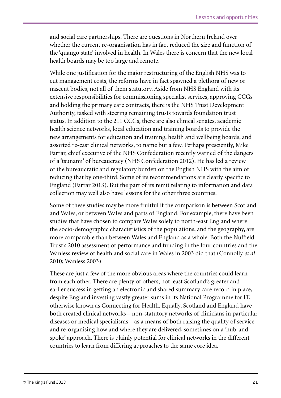and social care partnerships. There are questions in Northern Ireland over whether the current re-organisation has in fact reduced the size and function of the 'quango state' involved in health. In Wales there is concern that the new local health boards may be too large and remote.

While one justification for the major restructuring of the English NHS was to cut management costs, the reforms have in fact spawned a plethora of new or nascent bodies, not all of them statutory. Aside from NHS England with its extensive responsibilities for commissioning specialist services, approving CCGs and holding the primary care contracts, there is the NHS Trust Development Authority, tasked with steering remaining trusts towards foundation trust status. In addition to the 211 CCGs, there are also clinical senates, academic health science networks, local education and training boards to provide the new arrangements for education and training, health and wellbeing boards, and assorted re-cast clinical networks, to name but a few. Perhaps presciently, Mike Farrar, chief executive of the NHS Confederation recently warned of the dangers of a 'tsunami' of bureaucracy (NHS Confederation 2012). He has led a review of the bureaucratic and regulatory burden on the English NHS with the aim of reducing that by one-third. Some of its recommendations are clearly specific to England (Farrar 2013). But the part of its remit relating to information and data collection may well also have lessons for the other three countries.

Some of these studies may be more fruitful if the comparison is between Scotland and Wales, or between Wales and parts of England. For example, there have been studies that have chosen to compare Wales solely to north-east England where the socio-demographic characteristics of the populations, and the geography, are more comparable than between Wales and England as a whole. Both the Nuffield Trust's 2010 assessment of performance and funding in the four countries and the Wanless review of health and social care in Wales in 2003 did that (Connolly *et al* 2010; Wanless 2003).

These are just a few of the more obvious areas where the countries could learn from each other. There are plenty of others, not least Scotland's greater and earlier success in getting an electronic and shared summary care record in place, despite England investing vastly greater sums in its National Programme for IT, otherwise known as Connecting for Health. Equally, Scotland and England have both created clinical networks – non-statutory networks of clinicians in particular diseases or medical specialisms – as a means of both raising the quality of service and re-organising how and where they are delivered, sometimes on a 'hub-andspoke' approach. There is plainly potential for clinical networks in the different countries to learn from differing approaches to the same core idea.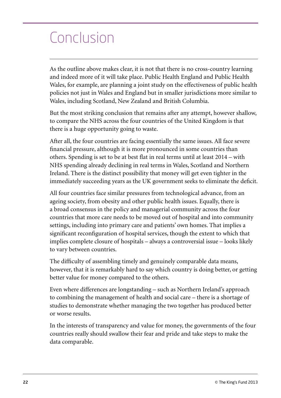# <span id="page-27-0"></span>Conclusion

As the outline above makes clear, it is not that there is no cross-country learning and indeed more of it will take place. Public Health England and Public Health Wales, for example, are planning a joint study on the effectiveness of public health policies not just in Wales and England but in smaller jurisdictions more similar to Wales, including Scotland, New Zealand and British Columbia.

But the most striking conclusion that remains after any attempt, however shallow, to compare the NHS across the four countries of the United Kingdom is that there is a huge opportunity going to waste.

After all, the four countries are facing essentially the same issues. All face severe financial pressure, although it is more pronounced in some countries than others. Spending is set to be at best flat in real terms until at least 2014 – with NHS spending already declining in real terms in Wales, Scotland and Northern Ireland. There is the distinct possibility that money will get even tighter in the immediately succeeding years as the UK government seeks to eliminate the deficit.

All four countries face similar pressures from technological advance, from an ageing society, from obesity and other public health issues. Equally, there is a broad consensus in the policy and managerial community across the four countries that more care needs to be moved out of hospital and into community settings, including into primary care and patients' own homes. That implies a significant reconfiguration of hospital services, though the extent to which that implies complete closure of hospitals – always a controversial issue – looks likely to vary between countries.

The difficulty of assembling timely and genuinely comparable data means, however, that it is remarkably hard to say which country is doing better, or getting better value for money compared to the others.

Even where differences are longstanding – such as Northern Ireland's approach to combining the management of health and social care – there is a shortage of studies to demonstrate whether managing the two together has produced better or worse results.

In the interests of transparency and value for money, the governments of the four countries really should swallow their fear and pride and take steps to make the data comparable.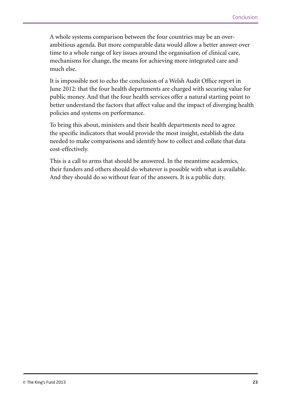A whole systems comparison between the four countries may be an overambitious agenda. But more comparable data would allow a better answer over time to a whole range of key issues around the organisation of clinical care, mechanisms for change, the means for achieving more integrated care and much else.

It is impossible not to echo the conclusion of a Welsh Audit Office report in June 2012: that the four health departments are charged with securing value for public money. And that the four health services offer a natural starting point to better understand the factors that affect value and the impact of diverging health policies and systems on performance.

To bring this about, ministers and their health departments need to agree the specific indicators that would provide the most insight, establish the data needed to make comparisons and identify how to collect and collate that data cost-effectively.

This is a call to arms that should be answered. In the meantime academics, their funders and others should do whatever is possible with what is available. And they should do so without fear of the answers. It is a public duty.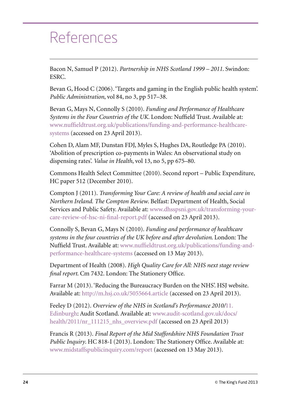### <span id="page-29-0"></span>References

Bacon N, Samuel P (2012). *Partnership in NHS Scotland 1999 – 2011*. Swindon: ESRC.

Bevan G, Hood C (2006). 'Targets and gaming in the English public health system'. *Public Administration*, vol 84, no 3, pp 517–38.

Bevan G, Mays N, Connolly S (2010). *Funding and Performance of Healthcare Systems in the Four Countries of the UK*. London: Nuffield Trust. Available at: [www.nuffieldtrust.org.uk/publications/funding-and-performance-healthcare](http://www.nuffieldtrust.org.uk/publications/funding-and-performance-healthcare-systems)[systems](http://www.nuffieldtrust.org.uk/publications/funding-and-performance-healthcare-systems) (accessed on 23 April 2013).

Cohen D, Alam MF, Dunstan FDJ, Myles S, Hughes DA, Routledge PA (2010). 'Abolition of prescription co-payments in Wales: An observational study on dispensing rates'. *Value in Health*, vol 13, no 5, pp 675–80.

Commons Health Select Committee (2010). Second report – Public Expenditure, HC paper 512 (December 2010).

Compton J (2011). *Transforming Your Care: A review of health and social care in Northern Ireland. The Compton Review*. Belfast: Department of Health, Social Services and Public Safety. Available at: [www.dhsspsni.gov.uk/transforming-your](http://www.dhsspsni.gov.uk/transforming-your-care-review-of-hsc-ni-final-report.pdf)[care-review-of-hsc-ni-final-report.pdf](http://www.dhsspsni.gov.uk/transforming-your-care-review-of-hsc-ni-final-report.pdf) (accessed on 23 April 2013).

Connolly S, Bevan G, Mays N (2010). *Funding and performance of healthcare systems in the four countries of the UK before and after devolution*. London: The Nuffield Trust. Available at: [www.nuffieldtrust.org.uk/publications/funding-and](http://www.nuffieldtrust.org.uk/publications/funding-and-performance-healthcare-systems)[performance-healthcare-systems](http://www.nuffieldtrust.org.uk/publications/funding-and-performance-healthcare-systems) (accessed on 13 May 2013).

Department of Health (2008). *High Quality Care for All: NHS next stage review final report*. Cm 7432. London: The Stationery Office.

Farrar M (2013). 'Reducing the Bureaucracy Burden on the NHS'. HSJ website. Available at:<http://m.hsj.co.uk/5055664.article> (accessed on 23 April 2013).

Feeley D (2012). *Overview of the NHS in Scotland's Performance 2010/*[11.](11.Edinburgh) [Edinburgh](11.Edinburgh): Audit Scotland. Available at: [www.audit-scotland.gov.uk/docs/](http://www.audit-scotland.gov.uk/docs/health/2011/nr_111215_nhs_overview.pdf) [health/2011/nr\\_111215\\_nhs\\_overview.pdf](http://www.audit-scotland.gov.uk/docs/health/2011/nr_111215_nhs_overview.pdf) (accessed on 23 April 2013)

Francis R (2013). *Final Report of the Mid Staffordshire NHS Foundation Trust Public Inquiry*. HC 818-I (2013). London: The Stationery Office. Available at: [www.midstaffspublicinquiry.com/report](http://www.midstaffspublicinquiry.com/report) (accessed on 13 May 2013).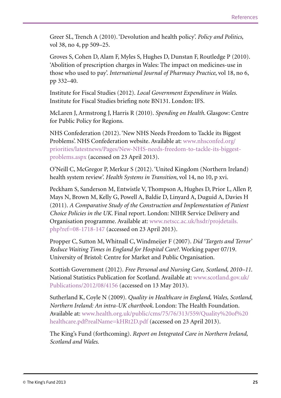Greer SL, Trench A (2010). 'Devolution and health policy'. *Policy and Politics*, vol 38, no 4, pp 509–25.

Groves S, Cohen D, Alam F, Myles S, Hughes D, Dunstan F, Routledge P (2010). 'Abolition of prescription charges in Wales: The impact on medicines-use in those who used to pay'. *International Journal of Pharmacy Practice*, vol 18, no 6, pp 332–40.

Institute for Fiscal Studies (2012). *Local Government Expenditure in Wales*. Institute for Fiscal Studies briefing note BN131. London: IFS.

McLaren J, Armstrong J, Harris R (2010). *Spending on Health*. Glasgow: Centre for Public Policy for Regions.

NHS Confederation (2012). 'New NHS Needs Freedom to Tackle its Biggest Problems'. NHS Confederation website. Available at: [www.nhsconfed.org/](http://www.nhsconfed.org/priorities/latestnews/Pages/New-NHS-needs-freedom-to-tackle-its-biggest-problems.aspx) [priorities/latestnews/Pages/New-NHS-needs-freedom-to-tackle-its-biggest](http://www.nhsconfed.org/priorities/latestnews/Pages/New-NHS-needs-freedom-to-tackle-its-biggest-problems.aspx)[problems.aspx](http://www.nhsconfed.org/priorities/latestnews/Pages/New-NHS-needs-freedom-to-tackle-its-biggest-problems.aspx) (accessed on 23 April 2013).

O'Neill C, McGregor P, Merkur S (2012). 'United Kingdom (Northern Ireland) health system review'. *Health Systems in Transition*, vol 14, no 10, p xvi.

Peckham S, Sanderson M, Entwistle V, Thompson A, Hughes D, Prior L, Allen P, Mays N, Brown M, Kelly G, Powell A, Baldie D, Linyard A, Duguid A, Davies H (2011). *A Comparative Study of the Construction and Implementation of Patient Choice Policies in the UK*. Final report. London: NIHR Service Delivery and Organisation programme. Available at: [www.netscc.ac.uk/hsdr/projdetails.](http://www.netscc.ac.uk/hsdr/projdetails.php?ref=08-1718-147) [php?ref=08-1718-147](http://www.netscc.ac.uk/hsdr/projdetails.php?ref=08-1718-147) (accessed on 23 April 2013).

Propper C, Sutton M, Whitnall C, Windmeijer F (2007). *Did 'Targets and Terror' Reduce Waiting Times in England for Hospital Care?*. Working paper 07/19. University of Bristol: Centre for Market and Public Organisation.

Scottish Government (2012). *Free Personal and Nursing Care, Scotland, 2010–11*. National Statistics Publication for Scotland. Available at: [www.scotland.gov.uk/](http://www.scotland.gov.uk/Publications/2012/08/4156) [Publications/2012/08/4156](http://www.scotland.gov.uk/Publications/2012/08/4156) (accessed on 13 May 2013).

Sutherland K, Coyle N (2009). *Quality in Healthcare in England, Wales, Scotland, Northern Ireland: An intra-UK chartbook*. London: The Health Foundation. Available at: [www.health.org.uk/public/cms/75/76/313/559/Quality%20of%20](http://www.health.org.uk/public/cms/75/76/313/559/Quality%20of%20healthcare.pdf?realName=kHRt2D.pdf) [healthcare.pdf?realName=kHRt2D.pdf](http://www.health.org.uk/public/cms/75/76/313/559/Quality%20of%20healthcare.pdf?realName=kHRt2D.pdf) (accessed on 23 April 2013).

The King's Fund (forthcoming). *Report on Integrated Care in Northern Ireland, Scotland and Wales*.